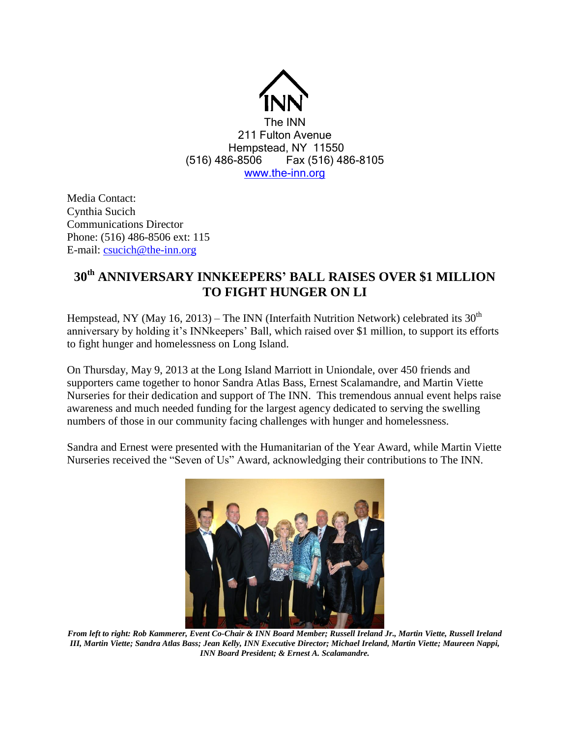

Media Contact: Cynthia Sucich Communications Director Phone: (516) 486-8506 ext: 115 E-mail: [csucich@the-inn.org](mailto:csucich@the-inn.org)

## **30th ANNIVERSARY INNKEEPERS' BALL RAISES OVER \$1 MILLION TO FIGHT HUNGER ON LI**

Hempstead, NY (May 16, 2013) – The INN (Interfaith Nutrition Network) celebrated its  $30<sup>th</sup>$ anniversary by holding it's INNkeepers' Ball, which raised over \$1 million, to support its efforts to fight hunger and homelessness on Long Island.

On Thursday, May 9, 2013 at the Long Island Marriott in Uniondale, over 450 friends and supporters came together to honor Sandra Atlas Bass, Ernest Scalamandre, and Martin Viette Nurseries for their dedication and support of The INN. This tremendous annual event helps raise awareness and much needed funding for the largest agency dedicated to serving the swelling numbers of those in our community facing challenges with hunger and homelessness.

Sandra and Ernest were presented with the Humanitarian of the Year Award, while Martin Viette Nurseries received the "Seven of Us" Award, acknowledging their contributions to The INN.



*From left to right: Rob Kammerer, Event Co-Chair & INN Board Member; Russell Ireland Jr., Martin Viette, Russell Ireland III, Martin Viette; Sandra Atlas Bass; Jean Kelly, INN Executive Director; Michael Ireland, Martin Viette; Maureen Nappi, INN Board President; & Ernest A. Scalamandre.*